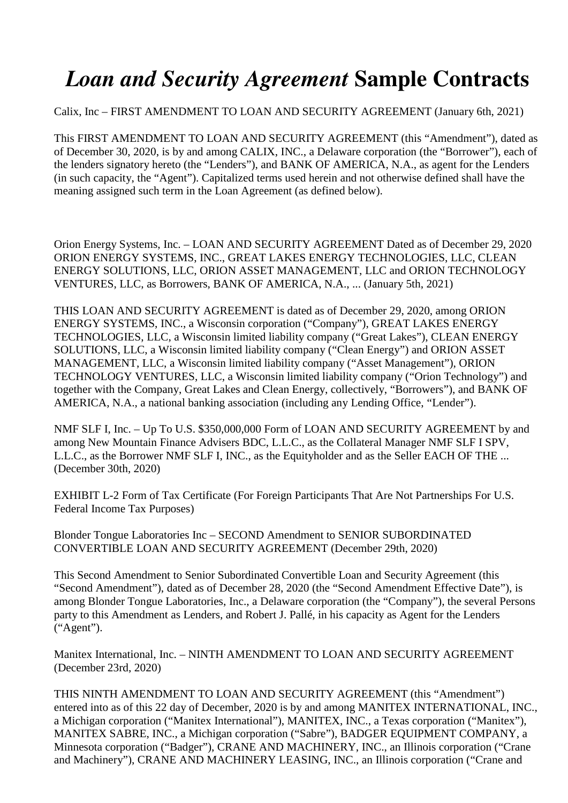## *Loan and Security Agreement* **Sample Contracts**

## Calix, Inc – FIRST AMENDMENT TO LOAN AND SECURITY AGREEMENT (January 6th, 2021)

This FIRST AMENDMENT TO LOAN AND SECURITY AGREEMENT (this "Amendment"), dated as of December 30, 2020, is by and among CALIX, INC., a Delaware corporation (the "Borrower"), each of the lenders signatory hereto (the "Lenders"), and BANK OF AMERICA, N.A., as agent for the Lenders (in such capacity, the "Agent"). Capitalized terms used herein and not otherwise defined shall have the meaning assigned such term in the Loan Agreement (as defined below).

Orion Energy Systems, Inc. – LOAN AND SECURITY AGREEMENT Dated as of December 29, 2020 ORION ENERGY SYSTEMS, INC., GREAT LAKES ENERGY TECHNOLOGIES, LLC, CLEAN ENERGY SOLUTIONS, LLC, ORION ASSET MANAGEMENT, LLC and ORION TECHNOLOGY VENTURES, LLC, as Borrowers, BANK OF AMERICA, N.A., ... (January 5th, 2021)

THIS LOAN AND SECURITY AGREEMENT is dated as of December 29, 2020, among ORION ENERGY SYSTEMS, INC., a Wisconsin corporation ("Company"), GREAT LAKES ENERGY TECHNOLOGIES, LLC, a Wisconsin limited liability company ("Great Lakes"), CLEAN ENERGY SOLUTIONS, LLC, a Wisconsin limited liability company ("Clean Energy") and ORION ASSET MANAGEMENT, LLC, a Wisconsin limited liability company ("Asset Management"), ORION TECHNOLOGY VENTURES, LLC, a Wisconsin limited liability company ("Orion Technology") and together with the Company, Great Lakes and Clean Energy, collectively, "Borrowers"), and BANK OF AMERICA, N.A., a national banking association (including any Lending Office, "Lender").

NMF SLF I, Inc. – Up To U.S. \$350,000,000 Form of LOAN AND SECURITY AGREEMENT by and among New Mountain Finance Advisers BDC, L.L.C., as the Collateral Manager NMF SLF I SPV, L.L.C., as the Borrower NMF SLF I, INC., as the Equityholder and as the Seller EACH OF THE ... (December 30th, 2020)

EXHIBIT L-2 Form of Tax Certificate (For Foreign Participants That Are Not Partnerships For U.S. Federal Income Tax Purposes)

Blonder Tongue Laboratories Inc – SECOND Amendment to SENIOR SUBORDINATED CONVERTIBLE LOAN AND SECURITY AGREEMENT (December 29th, 2020)

This Second Amendment to Senior Subordinated Convertible Loan and Security Agreement (this "Second Amendment"), dated as of December 28, 2020 (the "Second Amendment Effective Date"), is among Blonder Tongue Laboratories, Inc., a Delaware corporation (the "Company"), the several Persons party to this Amendment as Lenders, and Robert J. Pallé, in his capacity as Agent for the Lenders ("Agent").

Manitex International, Inc. – NINTH AMENDMENT TO LOAN AND SECURITY AGREEMENT (December 23rd, 2020)

THIS NINTH AMENDMENT TO LOAN AND SECURITY AGREEMENT (this "Amendment") entered into as of this 22 day of December, 2020 is by and among MANITEX INTERNATIONAL, INC., a Michigan corporation ("Manitex International"), MANITEX, INC., a Texas corporation ("Manitex"), MANITEX SABRE, INC., a Michigan corporation ("Sabre"), BADGER EQUIPMENT COMPANY, a Minnesota corporation ("Badger"), CRANE AND MACHINERY, INC., an Illinois corporation ("Crane and Machinery"), CRANE AND MACHINERY LEASING, INC., an Illinois corporation ("Crane and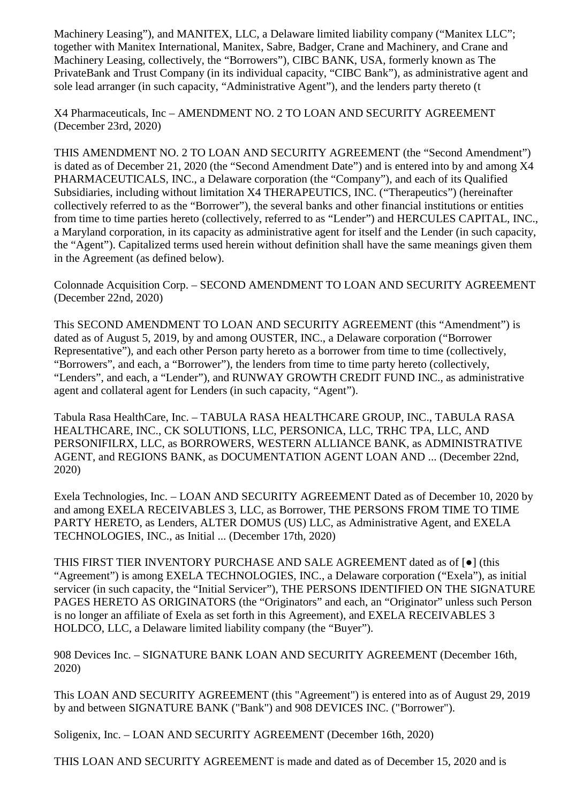Machinery Leasing"), and MANITEX, LLC, a Delaware limited liability company ("Manitex LLC"; together with Manitex International, Manitex, Sabre, Badger, Crane and Machinery, and Crane and Machinery Leasing, collectively, the "Borrowers"), CIBC BANK, USA, formerly known as The PrivateBank and Trust Company (in its individual capacity, "CIBC Bank"), as administrative agent and sole lead arranger (in such capacity, "Administrative Agent"), and the lenders party thereto (t

X4 Pharmaceuticals, Inc – AMENDMENT NO. 2 TO LOAN AND SECURITY AGREEMENT (December 23rd, 2020)

THIS AMENDMENT NO. 2 TO LOAN AND SECURITY AGREEMENT (the "Second Amendment") is dated as of December 21, 2020 (the "Second Amendment Date") and is entered into by and among X4 PHARMACEUTICALS, INC., a Delaware corporation (the "Company"), and each of its Qualified Subsidiaries, including without limitation X4 THERAPEUTICS, INC. ("Therapeutics") (hereinafter collectively referred to as the "Borrower"), the several banks and other financial institutions or entities from time to time parties hereto (collectively, referred to as "Lender") and HERCULES CAPITAL, INC., a Maryland corporation, in its capacity as administrative agent for itself and the Lender (in such capacity, the "Agent"). Capitalized terms used herein without definition shall have the same meanings given them in the Agreement (as defined below).

Colonnade Acquisition Corp. – SECOND AMENDMENT TO LOAN AND SECURITY AGREEMENT (December 22nd, 2020)

This SECOND AMENDMENT TO LOAN AND SECURITY AGREEMENT (this "Amendment") is dated as of August 5, 2019, by and among OUSTER, INC., a Delaware corporation ("Borrower Representative"), and each other Person party hereto as a borrower from time to time (collectively, "Borrowers", and each, a "Borrower"), the lenders from time to time party hereto (collectively, "Lenders", and each, a "Lender"), and RUNWAY GROWTH CREDIT FUND INC., as administrative agent and collateral agent for Lenders (in such capacity, "Agent").

Tabula Rasa HealthCare, Inc. – TABULA RASA HEALTHCARE GROUP, INC., TABULA RASA HEALTHCARE, INC., CK SOLUTIONS, LLC, PERSONICA, LLC, TRHC TPA, LLC, AND PERSONIFILRX, LLC, as BORROWERS, WESTERN ALLIANCE BANK, as ADMINISTRATIVE AGENT, and REGIONS BANK, as DOCUMENTATION AGENT LOAN AND ... (December 22nd, 2020)

Exela Technologies, Inc. – LOAN AND SECURITY AGREEMENT Dated as of December 10, 2020 by and among EXELA RECEIVABLES 3, LLC, as Borrower, THE PERSONS FROM TIME TO TIME PARTY HERETO, as Lenders, ALTER DOMUS (US) LLC, as Administrative Agent, and EXELA TECHNOLOGIES, INC., as Initial ... (December 17th, 2020)

THIS FIRST TIER INVENTORY PURCHASE AND SALE AGREEMENT dated as of [●] (this "Agreement") is among EXELA TECHNOLOGIES, INC., a Delaware corporation ("Exela"), as initial servicer (in such capacity, the "Initial Servicer"), THE PERSONS IDENTIFIED ON THE SIGNATURE PAGES HERETO AS ORIGINATORS (the "Originators" and each, an "Originator" unless such Person is no longer an affiliate of Exela as set forth in this Agreement), and EXELA RECEIVABLES 3 HOLDCO, LLC, a Delaware limited liability company (the "Buyer").

908 Devices Inc. – SIGNATURE BANK LOAN AND SECURITY AGREEMENT (December 16th, 2020)

This LOAN AND SECURITY AGREEMENT (this "Agreement") is entered into as of August 29, 2019 by and between SIGNATURE BANK ("Bank") and 908 DEVICES INC. ("Borrower").

Soligenix, Inc. – LOAN AND SECURITY AGREEMENT (December 16th, 2020)

THIS LOAN AND SECURITY AGREEMENT is made and dated as of December 15, 2020 and is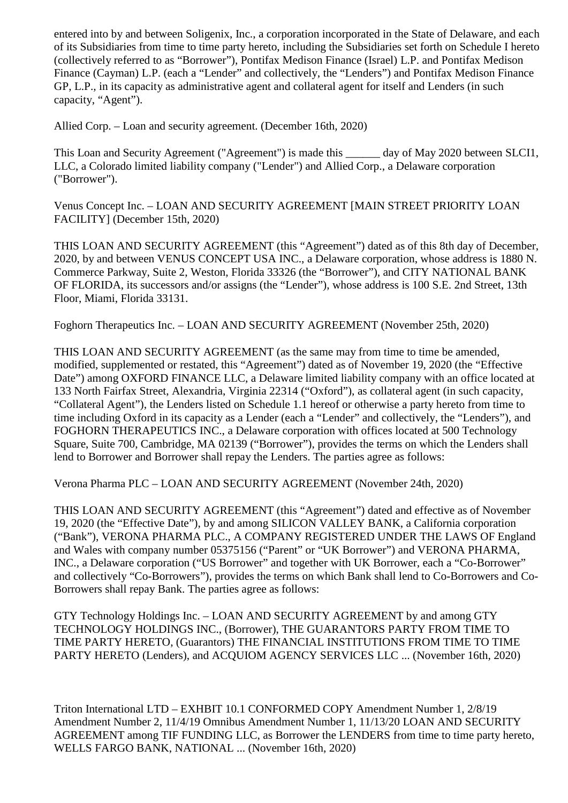entered into by and between Soligenix, Inc., a corporation incorporated in the State of Delaware, and each of its Subsidiaries from time to time party hereto, including the Subsidiaries set forth on Schedule I hereto (collectively referred to as "Borrower"), Pontifax Medison Finance (Israel) L.P. and Pontifax Medison Finance (Cayman) L.P. (each a "Lender" and collectively, the "Lenders") and Pontifax Medison Finance GP, L.P., in its capacity as administrative agent and collateral agent for itself and Lenders (in such capacity, "Agent").

Allied Corp. – Loan and security agreement. (December 16th, 2020)

This Loan and Security Agreement ("Agreement") is made this \_\_\_\_\_\_ day of May 2020 between SLCI1, LLC, a Colorado limited liability company ("Lender") and Allied Corp., a Delaware corporation ("Borrower").

Venus Concept Inc. – LOAN AND SECURITY AGREEMENT [MAIN STREET PRIORITY LOAN FACILITY] (December 15th, 2020)

THIS LOAN AND SECURITY AGREEMENT (this "Agreement") dated as of this 8th day of December, 2020, by and between VENUS CONCEPT USA INC., a Delaware corporation, whose address is 1880 N. Commerce Parkway, Suite 2, Weston, Florida 33326 (the "Borrower"), and CITY NATIONAL BANK OF FLORIDA, its successors and/or assigns (the "Lender"), whose address is 100 S.E. 2nd Street, 13th Floor, Miami, Florida 33131.

Foghorn Therapeutics Inc. – LOAN AND SECURITY AGREEMENT (November 25th, 2020)

THIS LOAN AND SECURITY AGREEMENT (as the same may from time to time be amended, modified, supplemented or restated, this "Agreement") dated as of November 19, 2020 (the "Effective Date") among OXFORD FINANCE LLC, a Delaware limited liability company with an office located at 133 North Fairfax Street, Alexandria, Virginia 22314 ("Oxford"), as collateral agent (in such capacity, "Collateral Agent"), the Lenders listed on Schedule 1.1 hereof or otherwise a party hereto from time to time including Oxford in its capacity as a Lender (each a "Lender" and collectively, the "Lenders"), and FOGHORN THERAPEUTICS INC., a Delaware corporation with offices located at 500 Technology Square, Suite 700, Cambridge, MA 02139 ("Borrower"), provides the terms on which the Lenders shall lend to Borrower and Borrower shall repay the Lenders. The parties agree as follows:

Verona Pharma PLC – LOAN AND SECURITY AGREEMENT (November 24th, 2020)

THIS LOAN AND SECURITY AGREEMENT (this "Agreement") dated and effective as of November 19, 2020 (the "Effective Date"), by and among SILICON VALLEY BANK, a California corporation ("Bank"), VERONA PHARMA PLC., A COMPANY REGISTERED UNDER THE LAWS OF England and Wales with company number 05375156 ("Parent" or "UK Borrower") and VERONA PHARMA, INC., a Delaware corporation ("US Borrower" and together with UK Borrower, each a "Co-Borrower" and collectively "Co-Borrowers"), provides the terms on which Bank shall lend to Co-Borrowers and Co-Borrowers shall repay Bank. The parties agree as follows:

GTY Technology Holdings Inc. – LOAN AND SECURITY AGREEMENT by and among GTY TECHNOLOGY HOLDINGS INC., (Borrower), THE GUARANTORS PARTY FROM TIME TO TIME PARTY HERETO, (Guarantors) THE FINANCIAL INSTITUTIONS FROM TIME TO TIME PARTY HERETO (Lenders), and ACQUIOM AGENCY SERVICES LLC ... (November 16th, 2020)

Triton International LTD – EXHBIT 10.1 CONFORMED COPY Amendment Number 1, 2/8/19 Amendment Number 2, 11/4/19 Omnibus Amendment Number 1, 11/13/20 LOAN AND SECURITY AGREEMENT among TIF FUNDING LLC, as Borrower the LENDERS from time to time party hereto, WELLS FARGO BANK, NATIONAL ... (November 16th, 2020)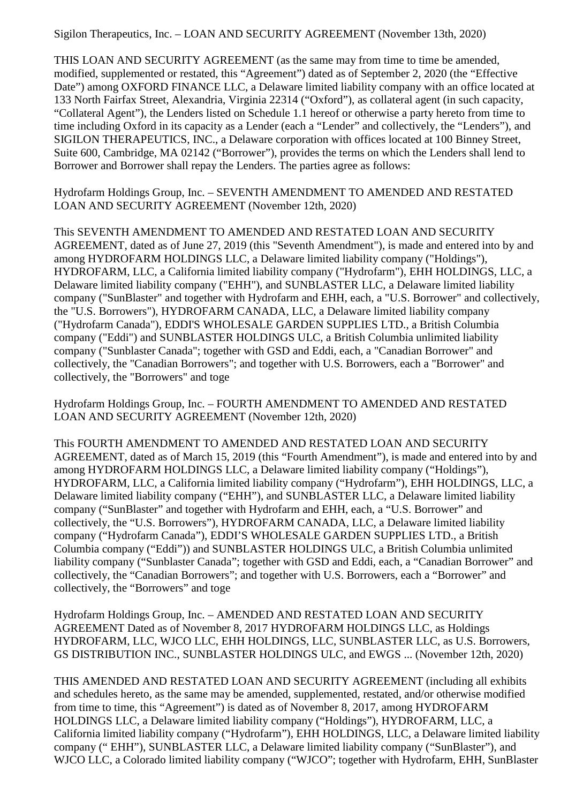Sigilon Therapeutics, Inc. – LOAN AND SECURITY AGREEMENT (November 13th, 2020)

THIS LOAN AND SECURITY AGREEMENT (as the same may from time to time be amended, modified, supplemented or restated, this "Agreement") dated as of September 2, 2020 (the "Effective Date") among OXFORD FINANCE LLC, a Delaware limited liability company with an office located at 133 North Fairfax Street, Alexandria, Virginia 22314 ("Oxford"), as collateral agent (in such capacity, "Collateral Agent"), the Lenders listed on Schedule 1.1 hereof or otherwise a party hereto from time to time including Oxford in its capacity as a Lender (each a "Lender" and collectively, the "Lenders"), and SIGILON THERAPEUTICS, INC., a Delaware corporation with offices located at 100 Binney Street, Suite 600, Cambridge, MA 02142 ("Borrower"), provides the terms on which the Lenders shall lend to Borrower and Borrower shall repay the Lenders. The parties agree as follows:

Hydrofarm Holdings Group, Inc. – SEVENTH AMENDMENT TO AMENDED AND RESTATED LOAN AND SECURITY AGREEMENT (November 12th, 2020)

This SEVENTH AMENDMENT TO AMENDED AND RESTATED LOAN AND SECURITY AGREEMENT, dated as of June 27, 2019 (this "Seventh Amendment"), is made and entered into by and among HYDROFARM HOLDINGS LLC, a Delaware limited liability company ("Holdings"), HYDROFARM, LLC, a California limited liability company ("Hydrofarm"), EHH HOLDINGS, LLC, a Delaware limited liability company ("EHH"), and SUNBLASTER LLC, a Delaware limited liability company ("SunBlaster" and together with Hydrofarm and EHH, each, a "U.S. Borrower" and collectively, the "U.S. Borrowers"), HYDROFARM CANADA, LLC, a Delaware limited liability company ("Hydrofarm Canada"), EDDI'S WHOLESALE GARDEN SUPPLIES LTD., a British Columbia company ("Eddi") and SUNBLASTER HOLDINGS ULC, a British Columbia unlimited liability company ("Sunblaster Canada"; together with GSD and Eddi, each, a "Canadian Borrower" and collectively, the "Canadian Borrowers"; and together with U.S. Borrowers, each a "Borrower" and collectively, the "Borrowers" and toge

Hydrofarm Holdings Group, Inc. – FOURTH AMENDMENT TO AMENDED AND RESTATED LOAN AND SECURITY AGREEMENT (November 12th, 2020)

This FOURTH AMENDMENT TO AMENDED AND RESTATED LOAN AND SECURITY AGREEMENT, dated as of March 15, 2019 (this "Fourth Amendment"), is made and entered into by and among HYDROFARM HOLDINGS LLC, a Delaware limited liability company ("Holdings"), HYDROFARM, LLC, a California limited liability company ("Hydrofarm"), EHH HOLDINGS, LLC, a Delaware limited liability company ("EHH"), and SUNBLASTER LLC, a Delaware limited liability company ("SunBlaster" and together with Hydrofarm and EHH, each, a "U.S. Borrower" and collectively, the "U.S. Borrowers"), HYDROFARM CANADA, LLC, a Delaware limited liability company ("Hydrofarm Canada"), EDDI'S WHOLESALE GARDEN SUPPLIES LTD., a British Columbia company ("Eddi")) and SUNBLASTER HOLDINGS ULC, a British Columbia unlimited liability company ("Sunblaster Canada"; together with GSD and Eddi, each, a "Canadian Borrower" and collectively, the "Canadian Borrowers"; and together with U.S. Borrowers, each a "Borrower" and collectively, the "Borrowers" and toge

Hydrofarm Holdings Group, Inc. – AMENDED AND RESTATED LOAN AND SECURITY AGREEMENT Dated as of November 8, 2017 HYDROFARM HOLDINGS LLC, as Holdings HYDROFARM, LLC, WJCO LLC, EHH HOLDINGS, LLC, SUNBLASTER LLC, as U.S. Borrowers, GS DISTRIBUTION INC., SUNBLASTER HOLDINGS ULC, and EWGS ... (November 12th, 2020)

THIS AMENDED AND RESTATED LOAN AND SECURITY AGREEMENT (including all exhibits and schedules hereto, as the same may be amended, supplemented, restated, and/or otherwise modified from time to time, this "Agreement") is dated as of November 8, 2017, among HYDROFARM HOLDINGS LLC, a Delaware limited liability company ("Holdings"), HYDROFARM, LLC, a California limited liability company ("Hydrofarm"), EHH HOLDINGS, LLC, a Delaware limited liability company (" EHH"), SUNBLASTER LLC, a Delaware limited liability company ("SunBlaster"), and WJCO LLC, a Colorado limited liability company ("WJCO"; together with Hydrofarm, EHH, SunBlaster